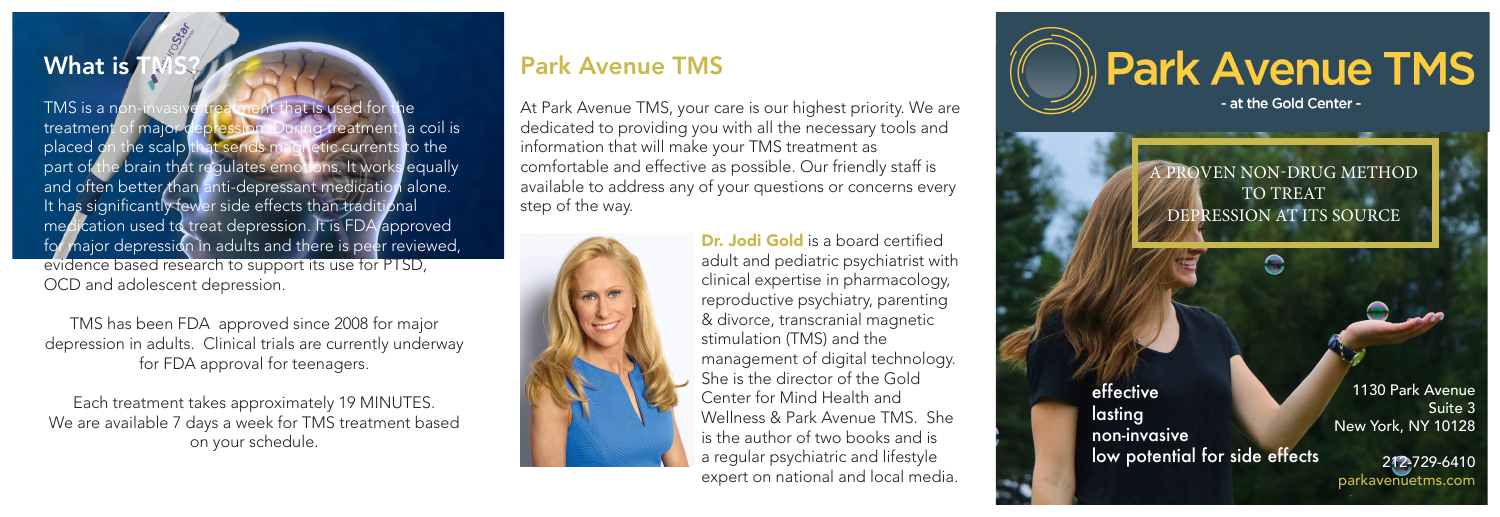#### What is **7**

TMS is a non-invasive treatment that is used for the treatment of major depression. During treatment, a coil is placed on the scalp that sends magnetic currents to the part of the brain that regulates emotions. It works equally and often better than anti-depressant medication alone. It has significantly fewer side effects than traditional medication used to treat depression. It is FDA approved for major depression in adults and there is peer reviewed, evidence based research to support its use for PTSD, OCD and adolescent depression.

TMS has been FDA approved since 2008 for major depression in adults. Clinical trials are currently underway for FDA approval for teenagers.

Each treatment takes approximately 19 MINUTES. We are available 7 days a week for TMS treatment based on your schedule.

#### Park Avenue TMS

At Park Avenue TMS, your care is our highest priority. We are dedicated to providing you with all the necessary tools and information that will make your TMS treatment as comfortable and effective as possible. Our friendly staff is available to address any of your questions or concerns every step of the way.



Dr. Jodi Gold is a board certified adult and pediatric psychiatrist with clinical expertise in pharmacology, reproductive psychiatry, parenting & divorce, transcranial magnetic stimulation (TMS) and the management of digital technology. She is the director of the Gold Center for Mind Health and Wellness & Park Avenue TMS. She is the author of two books and is a regular psychiatric and lifestyle expert on national and local media.



A PROVEN NON-DRUG METHOD TO TREAT DEPRESSION AT ITS SOURCE

effective lasting non-invasive low potential for side effects

1130 Park Avenue Suite 3 New York, NY 10128

212-729-6410 parkavenuetms.com